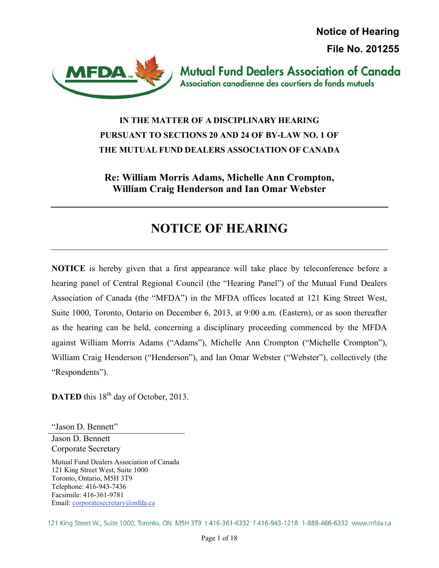**Notice of Hearing File No. 201255** 



**Mutual Fund Dealers Association of Canada** Association canadienne des courtiers de fonds mutuels

## **IN THE MATTER OF A DISCIPLINARY HEARING PURSUANT TO SECTIONS 20 AND 24 OF BY-LAW NO. 1 OF THE MUTUAL FUND DEALERS ASSOCIATION OF CANADA**

## **Re: William Morris Adams, Michelle Ann Crompton, William Craig Henderson and Ian Omar Webster**

# **NOTICE OF HEARING**

**NOTICE** is hereby given that a first appearance will take place by teleconference before a hearing panel of Central Regional Council (the "Hearing Panel") of the Mutual Fund Dealers Association of Canada (the "MFDA") in the MFDA offices located at 121 King Street West, Suite 1000, Toronto, Ontario on December 6, 2013, at 9:00 a.m. (Eastern), or as soon thereafter as the hearing can be held, concerning a disciplinary proceeding commenced by the MFDA against William Morris Adams ("Adams"), Michelle Ann Crompton ("Michelle Crompton"), William Craig Henderson ("Henderson"), and Ian Omar Webster ("Webster"), collectively (the "Respondents").

**DATED** this 18<sup>th</sup> day of October, 2013.

"Jason D. Bennett"

Jason D. Bennett Corporate Secretary

Mutual Fund Dealers Association of Canada 121 King Street West, Suite 1000 Toronto, Ontario, M5H 3T9 Telephone: 416-943-7436 Facsimile: 416-361-9781 Email: corporatesecretary@mfda.ca

121 King Street W., Suite 1000, Toronto, ON M5H 3T9 t 416-361-6332 f 416-943-1218 1-888-466-6332 www.mfda.ca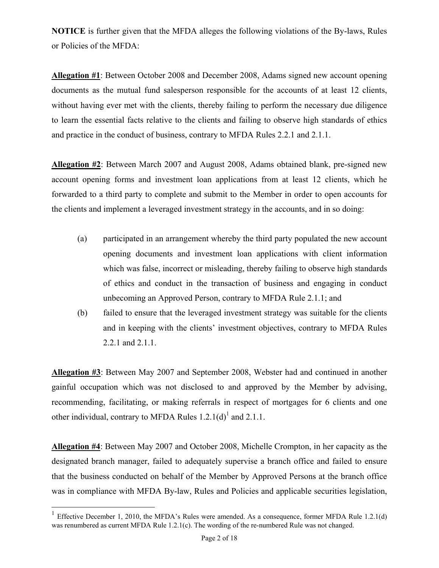**NOTICE** is further given that the MFDA alleges the following violations of the By-laws, Rules or Policies of the MFDA:

**Allegation #1**: Between October 2008 and December 2008, Adams signed new account opening documents as the mutual fund salesperson responsible for the accounts of at least 12 clients, without having ever met with the clients, thereby failing to perform the necessary due diligence to learn the essential facts relative to the clients and failing to observe high standards of ethics and practice in the conduct of business, contrary to MFDA Rules 2.2.1 and 2.1.1.

**Allegation #2**: Between March 2007 and August 2008, Adams obtained blank, pre-signed new account opening forms and investment loan applications from at least 12 clients, which he forwarded to a third party to complete and submit to the Member in order to open accounts for the clients and implement a leveraged investment strategy in the accounts, and in so doing:

- (a) participated in an arrangement whereby the third party populated the new account opening documents and investment loan applications with client information which was false, incorrect or misleading, thereby failing to observe high standards of ethics and conduct in the transaction of business and engaging in conduct unbecoming an Approved Person, contrary to MFDA Rule 2.1.1; and
- (b) failed to ensure that the leveraged investment strategy was suitable for the clients and in keeping with the clients' investment objectives, contrary to MFDA Rules 2.2.1 and 2.1.1.

**Allegation #3**: Between May 2007 and September 2008, Webster had and continued in another gainful occupation which was not disclosed to and approved by the Member by advising, recommending, facilitating, or making referrals in respect of mortgages for 6 clients and one other individual, contrary to MFDA Rules  $1.2.1(d)$ <sup>1</sup> and  $2.1.1$ .

**Allegation #4**: Between May 2007 and October 2008, Michelle Crompton, in her capacity as the designated branch manager, failed to adequately supervise a branch office and failed to ensure that the business conducted on behalf of the Member by Approved Persons at the branch office was in compliance with MFDA By-law, Rules and Policies and applicable securities legislation,

 $\overline{a}$ 

<sup>&</sup>lt;sup>1</sup> Effective December 1, 2010, the MFDA's Rules were amended. As a consequence, former MFDA Rule 1.2.1(d) was renumbered as current MFDA Rule 1.2.1(c). The wording of the re-numbered Rule was not changed.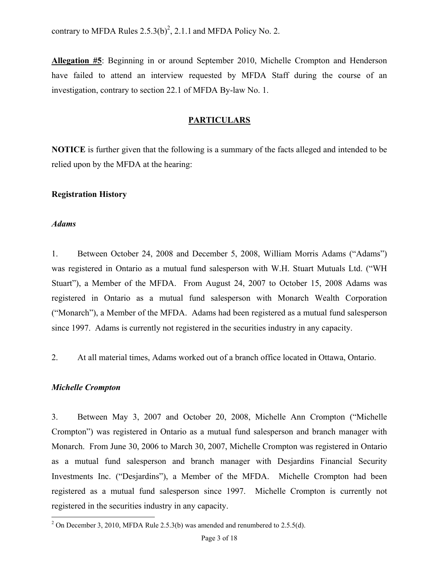contrary to MFDA Rules  $2.5.3(b)^2$ , 2.1.1 and MFDA Policy No. 2.

**Allegation #5**: Beginning in or around September 2010, Michelle Crompton and Henderson have failed to attend an interview requested by MFDA Staff during the course of an investigation, contrary to section 22.1 of MFDA By-law No. 1.

#### **PARTICULARS**

**NOTICE** is further given that the following is a summary of the facts alleged and intended to be relied upon by the MFDA at the hearing:

#### **Registration History**

#### *Adams*

1. Between October 24, 2008 and December 5, 2008, William Morris Adams ("Adams") was registered in Ontario as a mutual fund salesperson with W.H. Stuart Mutuals Ltd. ("WH Stuart"), a Member of the MFDA. From August 24, 2007 to October 15, 2008 Adams was registered in Ontario as a mutual fund salesperson with Monarch Wealth Corporation ("Monarch"), a Member of the MFDA. Adams had been registered as a mutual fund salesperson since 1997. Adams is currently not registered in the securities industry in any capacity.

2. At all material times, Adams worked out of a branch office located in Ottawa, Ontario.

#### *Michelle Crompton*

3. Between May 3, 2007 and October 20, 2008, Michelle Ann Crompton ("Michelle Crompton") was registered in Ontario as a mutual fund salesperson and branch manager with Monarch. From June 30, 2006 to March 30, 2007, Michelle Crompton was registered in Ontario as a mutual fund salesperson and branch manager with Desjardins Financial Security Investments Inc. ("Desjardins"), a Member of the MFDA. Michelle Crompton had been registered as a mutual fund salesperson since 1997. Michelle Crompton is currently not registered in the securities industry in any capacity.

 $\frac{1}{2}$  On December 3, 2010, MFDA Rule 2.5.3(b) was amended and renumbered to 2.5.5(d).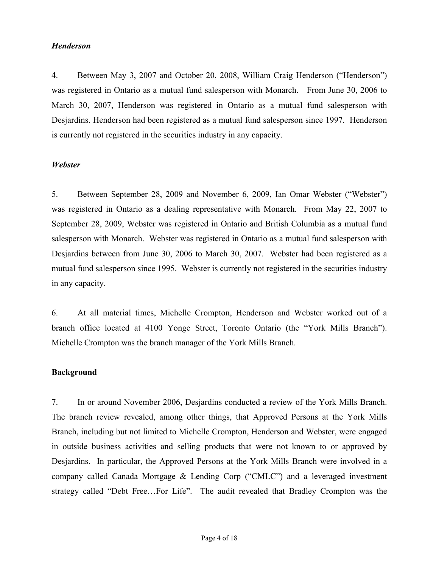#### *Henderson*

4. Between May 3, 2007 and October 20, 2008, William Craig Henderson ("Henderson") was registered in Ontario as a mutual fund salesperson with Monarch. From June 30, 2006 to March 30, 2007, Henderson was registered in Ontario as a mutual fund salesperson with Desjardins. Henderson had been registered as a mutual fund salesperson since 1997. Henderson is currently not registered in the securities industry in any capacity.

#### *Webster*

5. Between September 28, 2009 and November 6, 2009, Ian Omar Webster ("Webster") was registered in Ontario as a dealing representative with Monarch. From May 22, 2007 to September 28, 2009, Webster was registered in Ontario and British Columbia as a mutual fund salesperson with Monarch. Webster was registered in Ontario as a mutual fund salesperson with Desjardins between from June 30, 2006 to March 30, 2007. Webster had been registered as a mutual fund salesperson since 1995. Webster is currently not registered in the securities industry in any capacity.

6. At all material times, Michelle Crompton, Henderson and Webster worked out of a branch office located at 4100 Yonge Street, Toronto Ontario (the "York Mills Branch"). Michelle Crompton was the branch manager of the York Mills Branch.

#### **Background**

7. In or around November 2006, Desjardins conducted a review of the York Mills Branch. The branch review revealed, among other things, that Approved Persons at the York Mills Branch, including but not limited to Michelle Crompton, Henderson and Webster, were engaged in outside business activities and selling products that were not known to or approved by Desjardins. In particular, the Approved Persons at the York Mills Branch were involved in a company called Canada Mortgage & Lending Corp ("CMLC") and a leveraged investment strategy called "Debt Free…For Life". The audit revealed that Bradley Crompton was the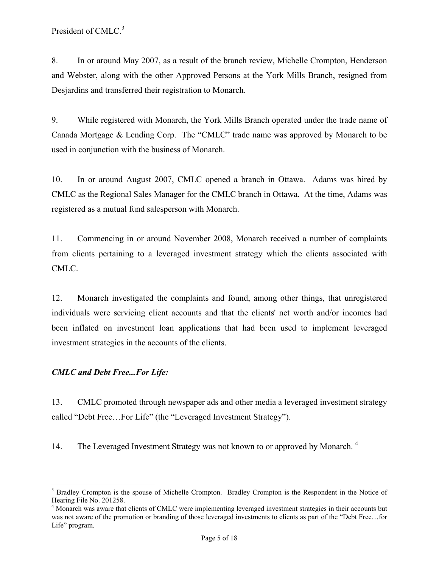President of CMLC.<sup>3</sup>

8. In or around May 2007, as a result of the branch review, Michelle Crompton, Henderson and Webster, along with the other Approved Persons at the York Mills Branch, resigned from Desjardins and transferred their registration to Monarch.

9. While registered with Monarch, the York Mills Branch operated under the trade name of Canada Mortgage & Lending Corp. The "CMLC" trade name was approved by Monarch to be used in conjunction with the business of Monarch.

10. In or around August 2007, CMLC opened a branch in Ottawa. Adams was hired by CMLC as the Regional Sales Manager for the CMLC branch in Ottawa. At the time, Adams was registered as a mutual fund salesperson with Monarch.

11. Commencing in or around November 2008, Monarch received a number of complaints from clients pertaining to a leveraged investment strategy which the clients associated with CMLC.

12. Monarch investigated the complaints and found, among other things, that unregistered individuals were servicing client accounts and that the clients' net worth and/or incomes had been inflated on investment loan applications that had been used to implement leveraged investment strategies in the accounts of the clients.

### *CMLC and Debt Free...For Life:*

1

13. CMLC promoted through newspaper ads and other media a leveraged investment strategy called "Debt Free…For Life" (the "Leveraged Investment Strategy").

14. The Leveraged Investment Strategy was not known to or approved by Monarch.<sup>4</sup>

<sup>&</sup>lt;sup>3</sup> Bradley Crompton is the spouse of Michelle Crompton. Bradley Crompton is the Respondent in the Notice of Hearing File No. 201258.

<sup>&</sup>lt;sup>4</sup> Monarch was aware that clients of CMLC were implementing leveraged investment strategies in their accounts but was not aware of the promotion or branding of those leveraged investments to clients as part of the "Debt Free…for Life" program.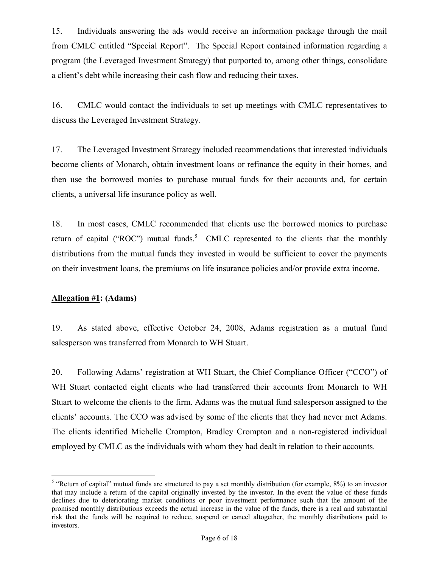15. Individuals answering the ads would receive an information package through the mail from CMLC entitled "Special Report". The Special Report contained information regarding a program (the Leveraged Investment Strategy) that purported to, among other things, consolidate a client's debt while increasing their cash flow and reducing their taxes.

16. CMLC would contact the individuals to set up meetings with CMLC representatives to discuss the Leveraged Investment Strategy.

17. The Leveraged Investment Strategy included recommendations that interested individuals become clients of Monarch, obtain investment loans or refinance the equity in their homes, and then use the borrowed monies to purchase mutual funds for their accounts and, for certain clients, a universal life insurance policy as well.

18. In most cases, CMLC recommended that clients use the borrowed monies to purchase return of capital ("ROC") mutual funds.<sup>5</sup> CMLC represented to the clients that the monthly distributions from the mutual funds they invested in would be sufficient to cover the payments on their investment loans, the premiums on life insurance policies and/or provide extra income.

#### **Allegation #1: (Adams)**

 $\overline{a}$ 

19. As stated above, effective October 24, 2008, Adams registration as a mutual fund salesperson was transferred from Monarch to WH Stuart.

20. Following Adams' registration at WH Stuart, the Chief Compliance Officer ("CCO") of WH Stuart contacted eight clients who had transferred their accounts from Monarch to WH Stuart to welcome the clients to the firm. Adams was the mutual fund salesperson assigned to the clients' accounts. The CCO was advised by some of the clients that they had never met Adams. The clients identified Michelle Crompton, Bradley Crompton and a non-registered individual employed by CMLC as the individuals with whom they had dealt in relation to their accounts.

<sup>&</sup>lt;sup>5</sup> "Return of capital" mutual funds are structured to pay a set monthly distribution (for example, 8%) to an investor that may include a return of the capital originally invested by the investor. In the event the value of these funds declines due to deteriorating market conditions or poor investment performance such that the amount of the promised monthly distributions exceeds the actual increase in the value of the funds, there is a real and substantial risk that the funds will be required to reduce, suspend or cancel altogether, the monthly distributions paid to investors.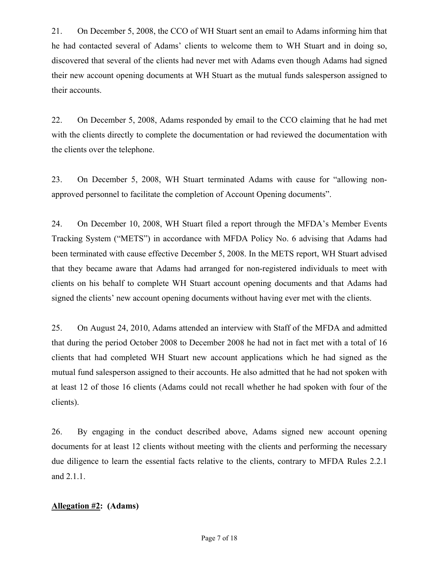21. On December 5, 2008, the CCO of WH Stuart sent an email to Adams informing him that he had contacted several of Adams' clients to welcome them to WH Stuart and in doing so, discovered that several of the clients had never met with Adams even though Adams had signed their new account opening documents at WH Stuart as the mutual funds salesperson assigned to their accounts.

22. On December 5, 2008, Adams responded by email to the CCO claiming that he had met with the clients directly to complete the documentation or had reviewed the documentation with the clients over the telephone.

23. On December 5, 2008, WH Stuart terminated Adams with cause for "allowing nonapproved personnel to facilitate the completion of Account Opening documents".

24. On December 10, 2008, WH Stuart filed a report through the MFDA's Member Events Tracking System ("METS") in accordance with MFDA Policy No. 6 advising that Adams had been terminated with cause effective December 5, 2008. In the METS report, WH Stuart advised that they became aware that Adams had arranged for non-registered individuals to meet with clients on his behalf to complete WH Stuart account opening documents and that Adams had signed the clients' new account opening documents without having ever met with the clients.

25. On August 24, 2010, Adams attended an interview with Staff of the MFDA and admitted that during the period October 2008 to December 2008 he had not in fact met with a total of 16 clients that had completed WH Stuart new account applications which he had signed as the mutual fund salesperson assigned to their accounts. He also admitted that he had not spoken with at least 12 of those 16 clients (Adams could not recall whether he had spoken with four of the clients).

26. By engaging in the conduct described above, Adams signed new account opening documents for at least 12 clients without meeting with the clients and performing the necessary due diligence to learn the essential facts relative to the clients, contrary to MFDA Rules 2.2.1 and 2.1.1.

#### **Allegation #2: (Adams)**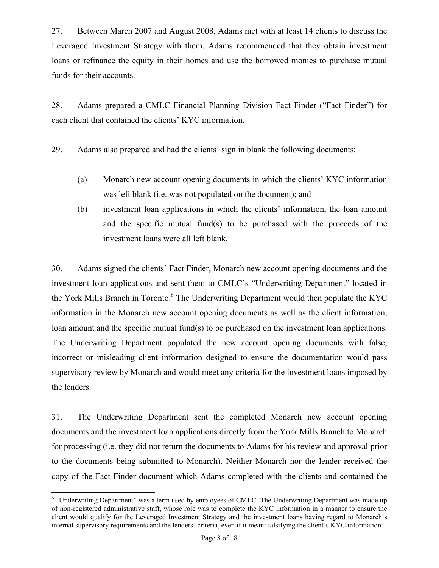27. Between March 2007 and August 2008, Adams met with at least 14 clients to discuss the Leveraged Investment Strategy with them. Adams recommended that they obtain investment loans or refinance the equity in their homes and use the borrowed monies to purchase mutual funds for their accounts.

28. Adams prepared a CMLC Financial Planning Division Fact Finder ("Fact Finder") for each client that contained the clients' KYC information.

29. Adams also prepared and had the clients' sign in blank the following documents:

- (a) Monarch new account opening documents in which the clients' KYC information was left blank (i.e. was not populated on the document); and
- (b) investment loan applications in which the clients' information, the loan amount and the specific mutual fund(s) to be purchased with the proceeds of the investment loans were all left blank.

30. Adams signed the clients' Fact Finder, Monarch new account opening documents and the investment loan applications and sent them to CMLC's "Underwriting Department" located in the York Mills Branch in Toronto.<sup>6</sup> The Underwriting Department would then populate the KYC information in the Monarch new account opening documents as well as the client information, loan amount and the specific mutual fund(s) to be purchased on the investment loan applications. The Underwriting Department populated the new account opening documents with false, incorrect or misleading client information designed to ensure the documentation would pass supervisory review by Monarch and would meet any criteria for the investment loans imposed by the lenders.

31. The Underwriting Department sent the completed Monarch new account opening documents and the investment loan applications directly from the York Mills Branch to Monarch for processing (i.e. they did not return the documents to Adams for his review and approval prior to the documents being submitted to Monarch). Neither Monarch nor the lender received the copy of the Fact Finder document which Adams completed with the clients and contained the

 $\overline{a}$ 

<sup>&</sup>lt;sup>6</sup> "Underwriting Department" was a term used by employees of CMLC. The Underwriting Department was made up of non-registered administrative staff, whose role was to complete the KYC information in a manner to ensure the client would qualify for the Leveraged Investment Strategy and the investment loans having regard to Monarch's internal supervisory requirements and the lenders' criteria, even if it meant falsifying the client's KYC information.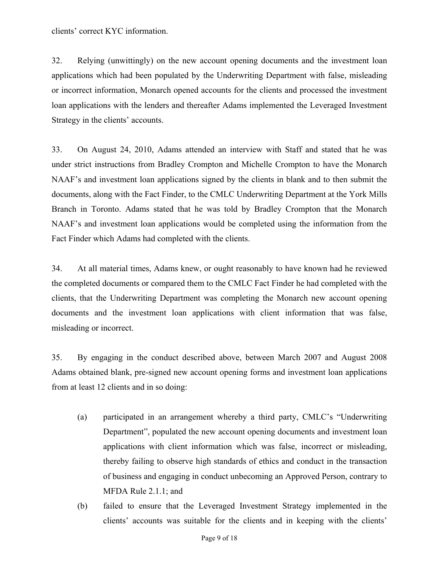32. Relying (unwittingly) on the new account opening documents and the investment loan applications which had been populated by the Underwriting Department with false, misleading or incorrect information, Monarch opened accounts for the clients and processed the investment loan applications with the lenders and thereafter Adams implemented the Leveraged Investment Strategy in the clients' accounts.

33. On August 24, 2010, Adams attended an interview with Staff and stated that he was under strict instructions from Bradley Crompton and Michelle Crompton to have the Monarch NAAF's and investment loan applications signed by the clients in blank and to then submit the documents, along with the Fact Finder, to the CMLC Underwriting Department at the York Mills Branch in Toronto. Adams stated that he was told by Bradley Crompton that the Monarch NAAF's and investment loan applications would be completed using the information from the Fact Finder which Adams had completed with the clients.

34. At all material times, Adams knew, or ought reasonably to have known had he reviewed the completed documents or compared them to the CMLC Fact Finder he had completed with the clients, that the Underwriting Department was completing the Monarch new account opening documents and the investment loan applications with client information that was false, misleading or incorrect.

35. By engaging in the conduct described above, between March 2007 and August 2008 Adams obtained blank, pre-signed new account opening forms and investment loan applications from at least 12 clients and in so doing:

- (a) participated in an arrangement whereby a third party, CMLC's "Underwriting Department", populated the new account opening documents and investment loan applications with client information which was false, incorrect or misleading, thereby failing to observe high standards of ethics and conduct in the transaction of business and engaging in conduct unbecoming an Approved Person, contrary to MFDA Rule 2.1.1; and
- (b) failed to ensure that the Leveraged Investment Strategy implemented in the clients' accounts was suitable for the clients and in keeping with the clients'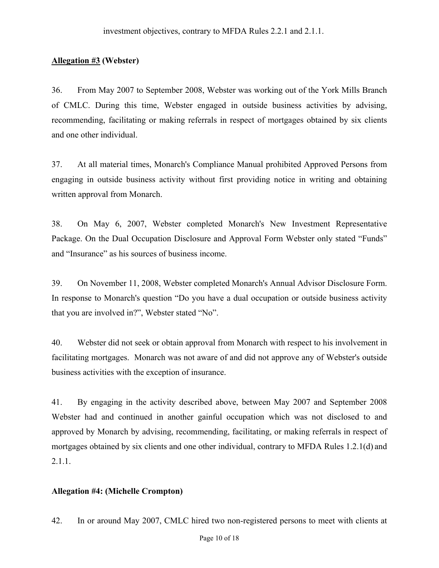#### **Allegation #3 (Webster)**

36. From May 2007 to September 2008, Webster was working out of the York Mills Branch of CMLC. During this time, Webster engaged in outside business activities by advising, recommending, facilitating or making referrals in respect of mortgages obtained by six clients and one other individual.

37. At all material times, Monarch's Compliance Manual prohibited Approved Persons from engaging in outside business activity without first providing notice in writing and obtaining written approval from Monarch.

38. On May 6, 2007, Webster completed Monarch's New Investment Representative Package. On the Dual Occupation Disclosure and Approval Form Webster only stated "Funds" and "Insurance" as his sources of business income.

39. On November 11, 2008, Webster completed Monarch's Annual Advisor Disclosure Form. In response to Monarch's question "Do you have a dual occupation or outside business activity that you are involved in?", Webster stated "No".

40. Webster did not seek or obtain approval from Monarch with respect to his involvement in facilitating mortgages. Monarch was not aware of and did not approve any of Webster's outside business activities with the exception of insurance.

41. By engaging in the activity described above, between May 2007 and September 2008 Webster had and continued in another gainful occupation which was not disclosed to and approved by Monarch by advising, recommending, facilitating, or making referrals in respect of mortgages obtained by six clients and one other individual, contrary to MFDA Rules 1.2.1(d) and 2.1.1.

#### **Allegation #4: (Michelle Crompton)**

42. In or around May 2007, CMLC hired two non-registered persons to meet with clients at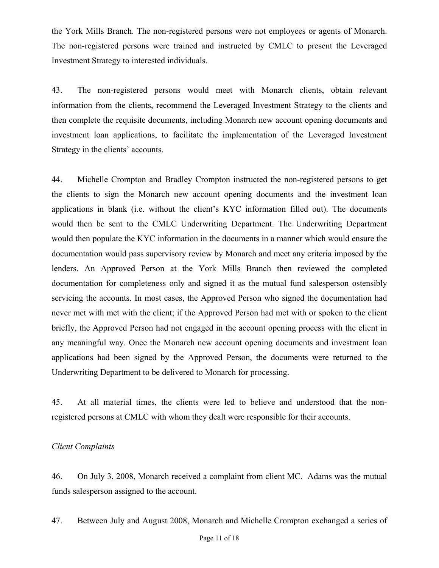the York Mills Branch. The non-registered persons were not employees or agents of Monarch. The non-registered persons were trained and instructed by CMLC to present the Leveraged Investment Strategy to interested individuals.

43. The non-registered persons would meet with Monarch clients, obtain relevant information from the clients, recommend the Leveraged Investment Strategy to the clients and then complete the requisite documents, including Monarch new account opening documents and investment loan applications, to facilitate the implementation of the Leveraged Investment Strategy in the clients' accounts.

44. Michelle Crompton and Bradley Crompton instructed the non-registered persons to get the clients to sign the Monarch new account opening documents and the investment loan applications in blank (i.e. without the client's KYC information filled out). The documents would then be sent to the CMLC Underwriting Department. The Underwriting Department would then populate the KYC information in the documents in a manner which would ensure the documentation would pass supervisory review by Monarch and meet any criteria imposed by the lenders. An Approved Person at the York Mills Branch then reviewed the completed documentation for completeness only and signed it as the mutual fund salesperson ostensibly servicing the accounts. In most cases, the Approved Person who signed the documentation had never met with met with the client; if the Approved Person had met with or spoken to the client briefly, the Approved Person had not engaged in the account opening process with the client in any meaningful way. Once the Monarch new account opening documents and investment loan applications had been signed by the Approved Person, the documents were returned to the Underwriting Department to be delivered to Monarch for processing.

45. At all material times, the clients were led to believe and understood that the nonregistered persons at CMLC with whom they dealt were responsible for their accounts.

#### *Client Complaints*

46. On July 3, 2008, Monarch received a complaint from client MC. Adams was the mutual funds salesperson assigned to the account.

47. Between July and August 2008, Monarch and Michelle Crompton exchanged a series of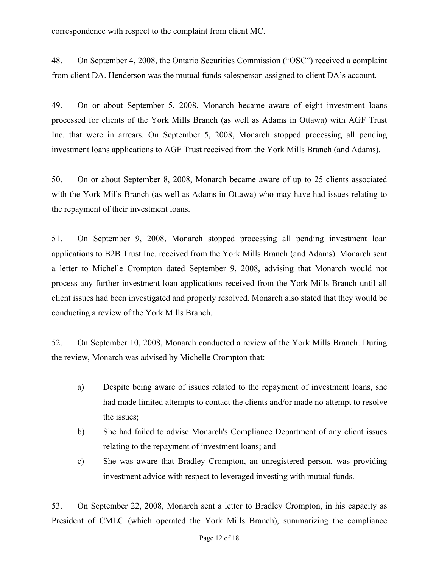correspondence with respect to the complaint from client MC.

48. On September 4, 2008, the Ontario Securities Commission ("OSC") received a complaint from client DA. Henderson was the mutual funds salesperson assigned to client DA's account.

49. On or about September 5, 2008, Monarch became aware of eight investment loans processed for clients of the York Mills Branch (as well as Adams in Ottawa) with AGF Trust Inc. that were in arrears. On September 5, 2008, Monarch stopped processing all pending investment loans applications to AGF Trust received from the York Mills Branch (and Adams).

50. On or about September 8, 2008, Monarch became aware of up to 25 clients associated with the York Mills Branch (as well as Adams in Ottawa) who may have had issues relating to the repayment of their investment loans.

51. On September 9, 2008, Monarch stopped processing all pending investment loan applications to B2B Trust Inc. received from the York Mills Branch (and Adams). Monarch sent a letter to Michelle Crompton dated September 9, 2008, advising that Monarch would not process any further investment loan applications received from the York Mills Branch until all client issues had been investigated and properly resolved. Monarch also stated that they would be conducting a review of the York Mills Branch.

52. On September 10, 2008, Monarch conducted a review of the York Mills Branch. During the review, Monarch was advised by Michelle Crompton that:

- a) Despite being aware of issues related to the repayment of investment loans, she had made limited attempts to contact the clients and/or made no attempt to resolve the issues;
- b) She had failed to advise Monarch's Compliance Department of any client issues relating to the repayment of investment loans; and
- c) She was aware that Bradley Crompton, an unregistered person, was providing investment advice with respect to leveraged investing with mutual funds.

53. On September 22, 2008, Monarch sent a letter to Bradley Crompton, in his capacity as President of CMLC (which operated the York Mills Branch), summarizing the compliance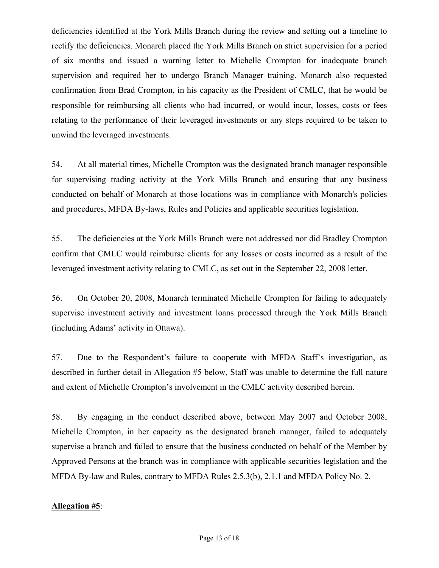deficiencies identified at the York Mills Branch during the review and setting out a timeline to rectify the deficiencies. Monarch placed the York Mills Branch on strict supervision for a period of six months and issued a warning letter to Michelle Crompton for inadequate branch supervision and required her to undergo Branch Manager training. Monarch also requested confirmation from Brad Crompton, in his capacity as the President of CMLC, that he would be responsible for reimbursing all clients who had incurred, or would incur, losses, costs or fees relating to the performance of their leveraged investments or any steps required to be taken to unwind the leveraged investments.

54. At all material times, Michelle Crompton was the designated branch manager responsible for supervising trading activity at the York Mills Branch and ensuring that any business conducted on behalf of Monarch at those locations was in compliance with Monarch's policies and procedures, MFDA By-laws, Rules and Policies and applicable securities legislation.

55. The deficiencies at the York Mills Branch were not addressed nor did Bradley Crompton confirm that CMLC would reimburse clients for any losses or costs incurred as a result of the leveraged investment activity relating to CMLC, as set out in the September 22, 2008 letter.

56. On October 20, 2008, Monarch terminated Michelle Crompton for failing to adequately supervise investment activity and investment loans processed through the York Mills Branch (including Adams' activity in Ottawa).

57. Due to the Respondent's failure to cooperate with MFDA Staff's investigation, as described in further detail in Allegation #5 below, Staff was unable to determine the full nature and extent of Michelle Crompton's involvement in the CMLC activity described herein.

58. By engaging in the conduct described above, between May 2007 and October 2008, Michelle Crompton, in her capacity as the designated branch manager, failed to adequately supervise a branch and failed to ensure that the business conducted on behalf of the Member by Approved Persons at the branch was in compliance with applicable securities legislation and the MFDA By-law and Rules, contrary to MFDA Rules 2.5.3(b), 2.1.1 and MFDA Policy No. 2.

#### **Allegation #5**: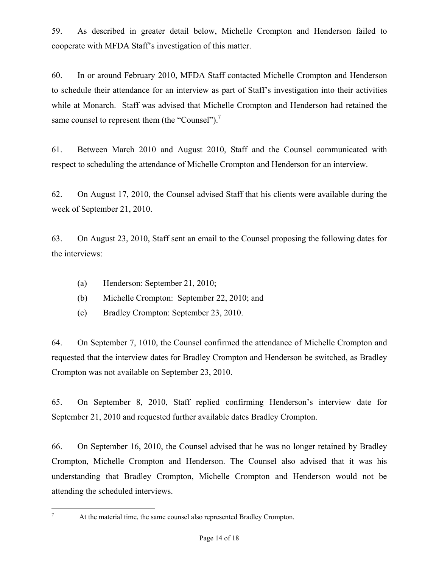59. As described in greater detail below, Michelle Crompton and Henderson failed to cooperate with MFDA Staff's investigation of this matter.

60. In or around February 2010, MFDA Staff contacted Michelle Crompton and Henderson to schedule their attendance for an interview as part of Staff's investigation into their activities while at Monarch. Staff was advised that Michelle Crompton and Henderson had retained the same counsel to represent them (the "Counsel").<sup>7</sup>

61. Between March 2010 and August 2010, Staff and the Counsel communicated with respect to scheduling the attendance of Michelle Crompton and Henderson for an interview.

62. On August 17, 2010, the Counsel advised Staff that his clients were available during the week of September 21, 2010.

63. On August 23, 2010, Staff sent an email to the Counsel proposing the following dates for the interviews:

- (a) Henderson: September 21, 2010;
- (b) Michelle Crompton: September 22, 2010; and
- (c) Bradley Crompton: September 23, 2010.

64. On September 7, 1010, the Counsel confirmed the attendance of Michelle Crompton and requested that the interview dates for Bradley Crompton and Henderson be switched, as Bradley Crompton was not available on September 23, 2010.

65. On September 8, 2010, Staff replied confirming Henderson's interview date for September 21, 2010 and requested further available dates Bradley Crompton.

66. On September 16, 2010, the Counsel advised that he was no longer retained by Bradley Crompton, Michelle Crompton and Henderson. The Counsel also advised that it was his understanding that Bradley Crompton, Michelle Crompton and Henderson would not be attending the scheduled interviews.

 $\overline{a}$ 7

At the material time, the same counsel also represented Bradley Crompton.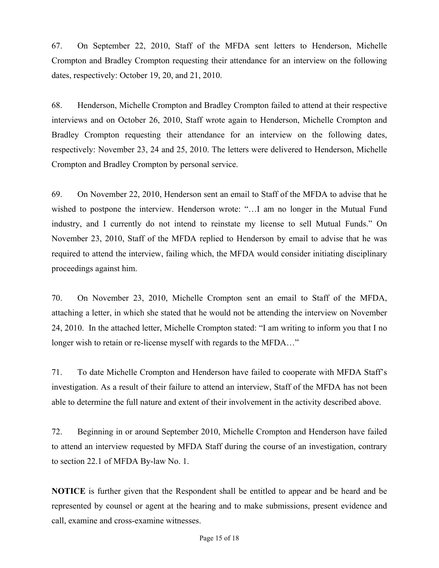67. On September 22, 2010, Staff of the MFDA sent letters to Henderson, Michelle Crompton and Bradley Crompton requesting their attendance for an interview on the following dates, respectively: October 19, 20, and 21, 2010.

68. Henderson, Michelle Crompton and Bradley Crompton failed to attend at their respective interviews and on October 26, 2010, Staff wrote again to Henderson, Michelle Crompton and Bradley Crompton requesting their attendance for an interview on the following dates, respectively: November 23, 24 and 25, 2010. The letters were delivered to Henderson, Michelle Crompton and Bradley Crompton by personal service.

69. On November 22, 2010, Henderson sent an email to Staff of the MFDA to advise that he wished to postpone the interview. Henderson wrote: "…I am no longer in the Mutual Fund industry, and I currently do not intend to reinstate my license to sell Mutual Funds." On November 23, 2010, Staff of the MFDA replied to Henderson by email to advise that he was required to attend the interview, failing which, the MFDA would consider initiating disciplinary proceedings against him.

70. On November 23, 2010, Michelle Crompton sent an email to Staff of the MFDA, attaching a letter, in which she stated that he would not be attending the interview on November 24, 2010. In the attached letter, Michelle Crompton stated: "I am writing to inform you that I no longer wish to retain or re-license myself with regards to the MFDA..."

71. To date Michelle Crompton and Henderson have failed to cooperate with MFDA Staff's investigation. As a result of their failure to attend an interview, Staff of the MFDA has not been able to determine the full nature and extent of their involvement in the activity described above.

72. Beginning in or around September 2010, Michelle Crompton and Henderson have failed to attend an interview requested by MFDA Staff during the course of an investigation, contrary to section 22.1 of MFDA By-law No. 1.

**NOTICE** is further given that the Respondent shall be entitled to appear and be heard and be represented by counsel or agent at the hearing and to make submissions, present evidence and call, examine and cross-examine witnesses.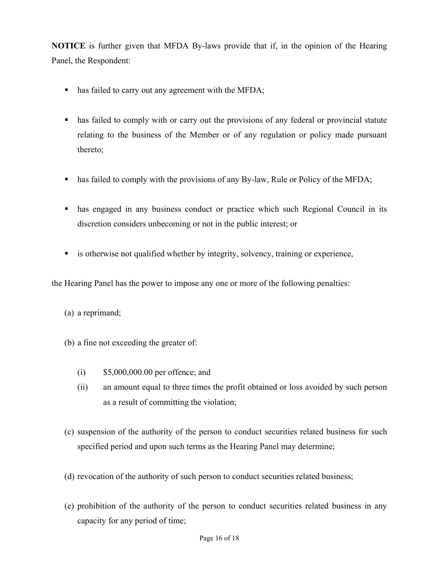**NOTICE** is further given that MFDA By-laws provide that if, in the opinion of the Hearing Panel, the Respondent:

- has failed to carry out any agreement with the MFDA;
- has failed to comply with or carry out the provisions of any federal or provincial statute relating to the business of the Member or of any regulation or policy made pursuant thereto;
- has failed to comply with the provisions of any By-law, Rule or Policy of the MFDA;
- has engaged in any business conduct or practice which such Regional Council in its discretion considers unbecoming or not in the public interest; or
- is otherwise not qualified whether by integrity, solvency, training or experience,

the Hearing Panel has the power to impose any one or more of the following penalties:

- (a) a reprimand;
- (b) a fine not exceeding the greater of:
	- (i) \$5,000,000.00 per offence; and
	- (ii) an amount equal to three times the profit obtained or loss avoided by such person as a result of committing the violation;
- (c) suspension of the authority of the person to conduct securities related business for such specified period and upon such terms as the Hearing Panel may determine;
- (d) revocation of the authority of such person to conduct securities related business;
- (e) prohibition of the authority of the person to conduct securities related business in any capacity for any period of time;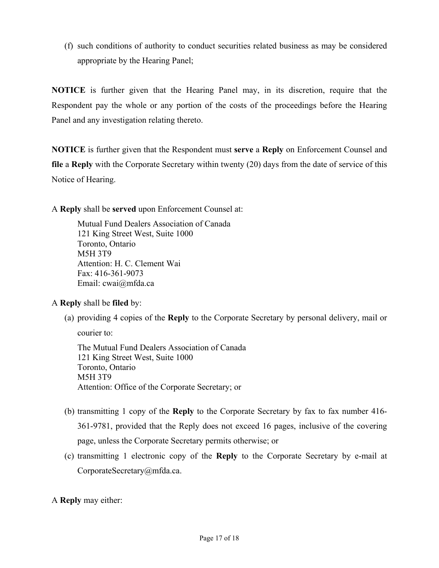(f) such conditions of authority to conduct securities related business as may be considered appropriate by the Hearing Panel;

**NOTICE** is further given that the Hearing Panel may, in its discretion, require that the Respondent pay the whole or any portion of the costs of the proceedings before the Hearing Panel and any investigation relating thereto.

**NOTICE** is further given that the Respondent must **serve** a **Reply** on Enforcement Counsel and **file** a **Reply** with the Corporate Secretary within twenty (20) days from the date of service of this Notice of Hearing.

A **Reply** shall be **served** upon Enforcement Counsel at:

 Mutual Fund Dealers Association of Canada 121 King Street West, Suite 1000 Toronto, Ontario M5H 3T9 Attention: H. C. Clement Wai Fax: 416-361-9073 Email: cwai@mfda.ca

A **Reply** shall be **filed** by:

(a) providing 4 copies of the **Reply** to the Corporate Secretary by personal delivery, mail or

courier to:

The Mutual Fund Dealers Association of Canada 121 King Street West, Suite 1000 Toronto, Ontario M5H 3T9 Attention: Office of the Corporate Secretary; or

- (b) transmitting 1 copy of the **Reply** to the Corporate Secretary by fax to fax number 416- 361-9781, provided that the Reply does not exceed 16 pages, inclusive of the covering page, unless the Corporate Secretary permits otherwise; or
- (c) transmitting 1 electronic copy of the **Reply** to the Corporate Secretary by e-mail at CorporateSecretary@mfda.ca.

A **Reply** may either: